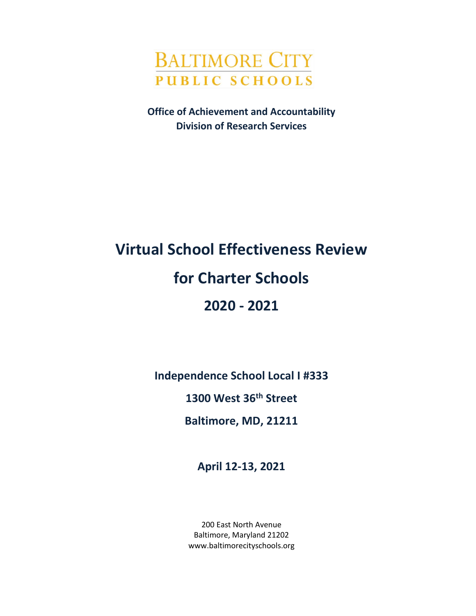

**Office of Achievement and Accountability Division of Research Services**

# **Virtual School Effectiveness Review for Charter Schools 2020 - 2021**

**Independence School Local I #333**

**1300 West 36th Street**

**Baltimore, MD, 21211**

**April 12-13, 2021**

200 East North Avenue Baltimore, Maryland 21202 www.baltimorecityschools.org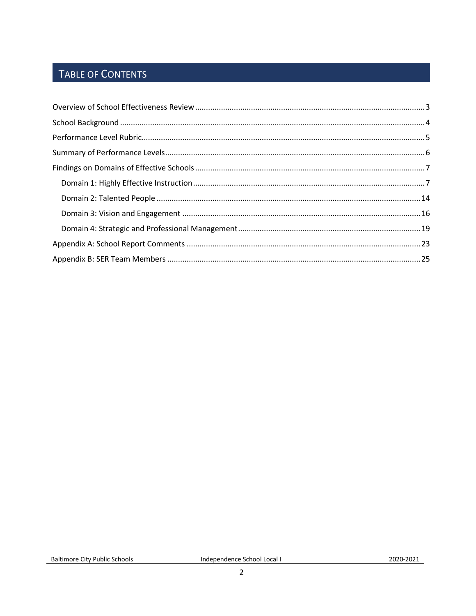# TABLE OF CONTENTS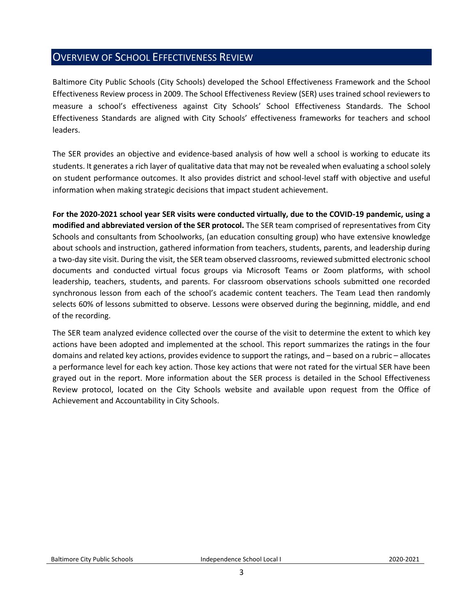# <span id="page-2-0"></span>OVERVIEW OF SCHOOL EFFECTIVENESS REVIEW

Baltimore City Public Schools (City Schools) developed the School Effectiveness Framework and the School Effectiveness Review process in 2009. The School Effectiveness Review (SER) uses trained school reviewers to measure a school's effectiveness against City Schools' School Effectiveness Standards. The School Effectiveness Standards are aligned with City Schools' effectiveness frameworks for teachers and school leaders.

The SER provides an objective and evidence-based analysis of how well a school is working to educate its students. It generates a rich layer of qualitative data that may not be revealed when evaluating a school solely on student performance outcomes. It also provides district and school-level staff with objective and useful information when making strategic decisions that impact student achievement.

**For the 2020-2021 school year SER visits were conducted virtually, due to the COVID-19 pandemic, using a modified and abbreviated version of the SER protocol.** The SER team comprised of representatives from City Schools and consultants from Schoolworks, (an education consulting group) who have extensive knowledge about schools and instruction, gathered information from teachers, students, parents, and leadership during a two-day site visit. During the visit, the SER team observed classrooms, reviewed submitted electronic school documents and conducted virtual focus groups via Microsoft Teams or Zoom platforms, with school leadership, teachers, students, and parents. For classroom observations schools submitted one recorded synchronous lesson from each of the school's academic content teachers. The Team Lead then randomly selects 60% of lessons submitted to observe. Lessons were observed during the beginning, middle, and end of the recording.

The SER team analyzed evidence collected over the course of the visit to determine the extent to which key actions have been adopted and implemented at the school. This report summarizes the ratings in the four domains and related key actions, provides evidence to support the ratings, and – based on a rubric – allocates a performance level for each key action. Those key actions that were not rated for the virtual SER have been grayed out in the report. More information about the SER process is detailed in the School Effectiveness Review protocol, located on the City Schools website and available upon request from the Office of Achievement and Accountability in City Schools.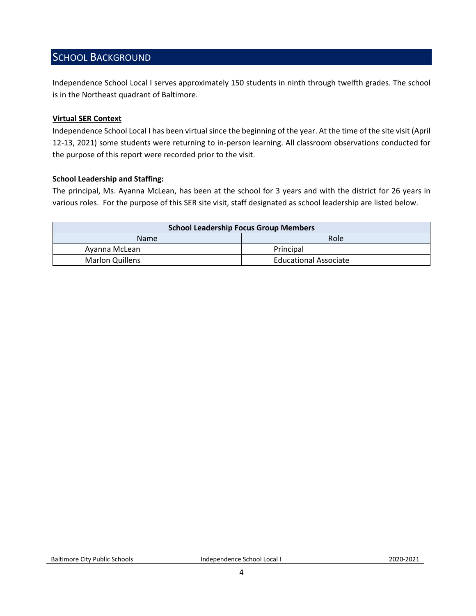# <span id="page-3-0"></span>SCHOOL BACKGROUND

Independence School Local I serves approximately 150 students in ninth through twelfth grades. The school is in the Northeast quadrant of Baltimore.

#### **Virtual SER Context**

Independence School Local I has been virtual since the beginning of the year. At the time of the site visit (April 12-13, 2021) some students were returning to in-person learning. All classroom observations conducted for the purpose of this report were recorded prior to the visit.

#### **School Leadership and Staffing:**

The principal, Ms. Ayanna McLean, has been at the school for 3 years and with the district for 26 years in various roles. For the purpose of this SER site visit, staff designated as school leadership are listed below.

<span id="page-3-1"></span>

| <b>School Leadership Focus Group Members</b> |                              |  |
|----------------------------------------------|------------------------------|--|
| <b>Name</b>                                  | Role                         |  |
| Avanna McLean                                | Principal                    |  |
| <b>Marlon Quillens</b>                       | <b>Educational Associate</b> |  |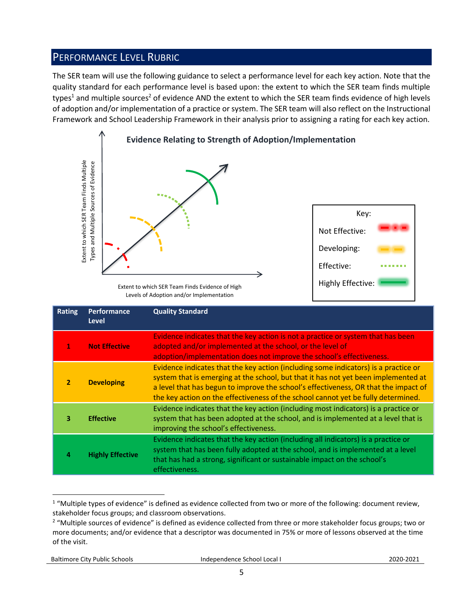# PERFORMANCE LEVEL RUBRIC

The SER team will use the following guidance to select a performance level for each key action. Note that the quality standard for each performance level is based upon: the extent to which the SER team finds multiple types<sup>1</sup> and multiple sources<sup>2</sup> of evidence AND the extent to which the SER team finds evidence of high levels of adoption and/or implementation of a practice or system. The SER team will also reflect on the Instructional Framework and School Leadership Framework in their analysis prior to assigning a rating for each key action.



Levels of Adoption and/or Implementation

|                | Extent to which SER Team Finds Multiple<br>Types and Multiple Sources of Evidence | Extent to which SER Team Finds Evidence of High<br>Levels of Adoption and/or Implementation                                                                                                                                                                                                                                                                                                                                                    | Key:<br>Not Effective:<br>Developing:<br>Effective:<br><b>Highly Effective:</b> |
|----------------|-----------------------------------------------------------------------------------|------------------------------------------------------------------------------------------------------------------------------------------------------------------------------------------------------------------------------------------------------------------------------------------------------------------------------------------------------------------------------------------------------------------------------------------------|---------------------------------------------------------------------------------|
| <b>Rating</b>  | Performance<br><b>Level</b>                                                       | <b>Quality Standard</b>                                                                                                                                                                                                                                                                                                                                                                                                                        |                                                                                 |
| 1              | <b>Not Effective</b>                                                              | Evidence indicates that the key action is not a practice or system that has been<br>adopted and/or implemented at the school, or the level of<br>adoption/implementation does not improve the school's effectiveness.                                                                                                                                                                                                                          |                                                                                 |
| $\overline{2}$ | <b>Developing</b>                                                                 | Evidence indicates that the key action (including some indicators) is a practice or<br>system that is emerging at the school, but that it has not yet been implemented at<br>a level that has begun to improve the school's effectiveness, OR that the impact of<br>the key action on the effectiveness of the school cannot yet be fully determined.                                                                                          |                                                                                 |
| з              | <b>Effective</b>                                                                  | Evidence indicates that the key action (including most indicators) is a practice or<br>system that has been adopted at the school, and is implemented at a level that is<br>improving the school's effectiveness.                                                                                                                                                                                                                              |                                                                                 |
| 4              | <b>Highly Effective</b>                                                           | Evidence indicates that the key action (including all indicators) is a practice or<br>system that has been fully adopted at the school, and is implemented at a level<br>that has had a strong, significant or sustainable impact on the school's<br>effectiveness.                                                                                                                                                                            |                                                                                 |
| of the visit.  |                                                                                   | <sup>1</sup> "Multiple types of evidence" is defined as evidence collected from two or more of the following: document review,<br>stakeholder focus groups; and classroom observations.<br><sup>2</sup> "Multiple sources of evidence" is defined as evidence collected from three or more stakeholder focus groups; two or<br>more documents; and/or evidence that a descriptor was documented in 75% or more of lessons observed at the time |                                                                                 |

 $\overline{a}$  $1$  "Multiple types of evidence" is defined as evidence collected from two or more of the following: document review, stakeholder focus groups; and classroom observations.

<sup>&</sup>lt;sup>2</sup> "Multiple sources of evidence" is defined as evidence collected from three or more stakeholder focus groups; two or more documents; and/or evidence that a descriptor was documented in 75% or more of lessons observed at the time of the visit.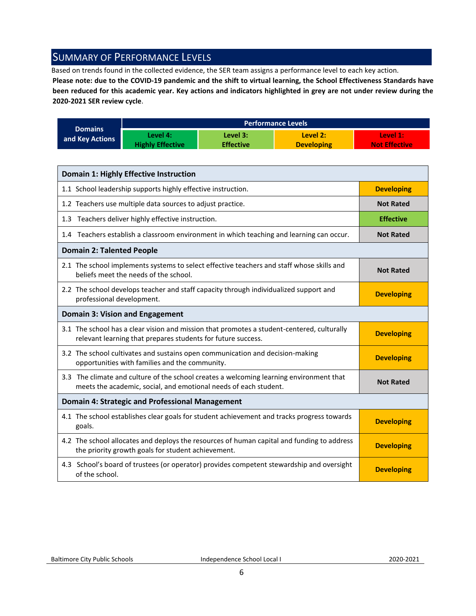# <span id="page-5-0"></span>SUMMARY OF PERFORMANCE LEVELS

Based on trends found in the collected evidence, the SER team assigns a performance level to each key action.

**Please note: due to the COVID-19 pandemic and the shift to virtual learning, the School Effectiveness Standards have been reduced for this academic year. Key actions and indicators highlighted in grey are not under review during the 2020-2021 SER review cycle**.

|                 | <b>Performance Levels</b> |                  |                   |                      |  |
|-----------------|---------------------------|------------------|-------------------|----------------------|--|
| <b>Domains</b>  | Level 4:                  | Level 3:         | Level 2:          | Level 1:             |  |
| and Key Actions | <b>Highly Effective</b>   | <b>Effective</b> | <b>Developing</b> | <b>Not Effective</b> |  |

| <b>Domain 1: Highly Effective Instruction</b>                                                                                                               |                   |
|-------------------------------------------------------------------------------------------------------------------------------------------------------------|-------------------|
| 1.1 School leadership supports highly effective instruction.                                                                                                | <b>Developing</b> |
| 1.2 Teachers use multiple data sources to adjust practice.                                                                                                  | <b>Not Rated</b>  |
| 1.3 Teachers deliver highly effective instruction.                                                                                                          | <b>Effective</b>  |
| 1.4 Teachers establish a classroom environment in which teaching and learning can occur.                                                                    | <b>Not Rated</b>  |
| <b>Domain 2: Talented People</b>                                                                                                                            |                   |
| 2.1 The school implements systems to select effective teachers and staff whose skills and<br>beliefs meet the needs of the school.                          | <b>Not Rated</b>  |
| 2.2 The school develops teacher and staff capacity through individualized support and<br>professional development.                                          | <b>Developing</b> |
| <b>Domain 3: Vision and Engagement</b>                                                                                                                      |                   |
| 3.1 The school has a clear vision and mission that promotes a student-centered, culturally<br>relevant learning that prepares students for future success.  | <b>Developing</b> |
| 3.2 The school cultivates and sustains open communication and decision-making<br>opportunities with families and the community.                             | <b>Developing</b> |
| 3.3 The climate and culture of the school creates a welcoming learning environment that<br>meets the academic, social, and emotional needs of each student. | <b>Not Rated</b>  |
| <b>Domain 4: Strategic and Professional Management</b>                                                                                                      |                   |
| 4.1 The school establishes clear goals for student achievement and tracks progress towards<br>goals.                                                        | <b>Developing</b> |
| 4.2 The school allocates and deploys the resources of human capital and funding to address<br>the priority growth goals for student achievement.            | <b>Developing</b> |
| 4.3 School's board of trustees (or operator) provides competent stewardship and oversight<br>of the school.                                                 | <b>Developing</b> |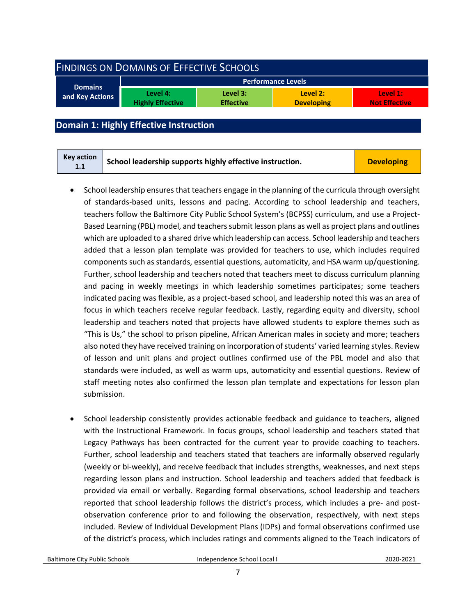<span id="page-6-0"></span>

| <b>FINDINGS ON DOMAINS OF EFFECTIVE SCHOOLS</b> |                                     |                              |                               |                                  |  |
|-------------------------------------------------|-------------------------------------|------------------------------|-------------------------------|----------------------------------|--|
| <b>Domains</b>                                  |                                     |                              | <b>Performance Levels</b>     |                                  |  |
| and Key Actions                                 | Level 4:<br><b>Highly Effective</b> | Level 3:<br><b>Effective</b> | Level 2:<br><b>Developing</b> | Level 1:<br><b>Not Effective</b> |  |
|                                                 |                                     |                              |                               |                                  |  |

# <span id="page-6-1"></span>**Domain 1: Highly Effective Instruction**

| Key action<br>1.1 | School leadership supports highly effective instruction. | <b>Developing</b> |
|-------------------|----------------------------------------------------------|-------------------|
|-------------------|----------------------------------------------------------|-------------------|

- School leadership ensures that teachers engage in the planning of the curricula through oversight of standards-based units, lessons and pacing. According to school leadership and teachers, teachers follow the Baltimore City Public School System's (BCPSS) curriculum, and use a Project-Based Learning (PBL) model, and teachers submit lesson plans as well as project plans and outlines which are uploaded to a shared drive which leadership can access. School leadership and teachers added that a lesson plan template was provided for teachers to use, which includes required components such as standards, essential questions, automaticity, and HSA warm up/questioning. Further, school leadership and teachers noted that teachers meet to discuss curriculum planning and pacing in weekly meetings in which leadership sometimes participates; some teachers indicated pacing was flexible, as a project-based school, and leadership noted this was an area of focus in which teachers receive regular feedback. Lastly, regarding equity and diversity, school leadership and teachers noted that projects have allowed students to explore themes such as "This is Us," the school to prison pipeline, African American males in society and more; teachers also noted they have received training on incorporation of students' varied learning styles. Review of lesson and unit plans and project outlines confirmed use of the PBL model and also that standards were included, as well as warm ups, automaticity and essential questions. Review of staff meeting notes also confirmed the lesson plan template and expectations for lesson plan submission.
- School leadership consistently provides actionable feedback and guidance to teachers, aligned with the Instructional Framework. In focus groups, school leadership and teachers stated that Legacy Pathways has been contracted for the current year to provide coaching to teachers. Further, school leadership and teachers stated that teachers are informally observed regularly (weekly or bi-weekly), and receive feedback that includes strengths, weaknesses, and next steps regarding lesson plans and instruction. School leadership and teachers added that feedback is provided via email or verbally. Regarding formal observations, school leadership and teachers reported that school leadership follows the district's process, which includes a pre- and postobservation conference prior to and following the observation, respectively, with next steps included. Review of Individual Development Plans (IDPs) and formal observations confirmed use of the district's process, which includes ratings and comments aligned to the Teach indicators of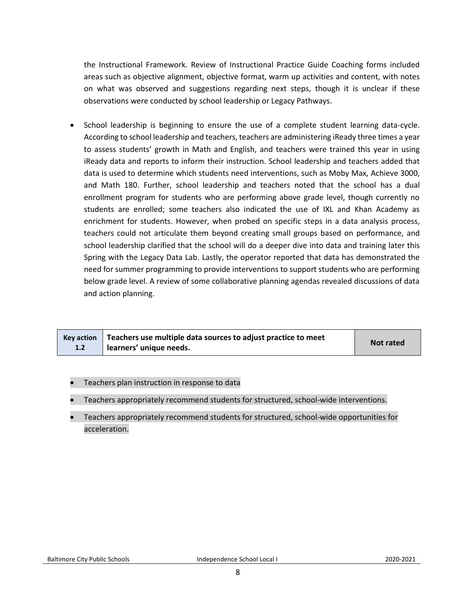the Instructional Framework. Review of Instructional Practice Guide Coaching forms included areas such as objective alignment, objective format, warm up activities and content, with notes on what was observed and suggestions regarding next steps, though it is unclear if these observations were conducted by school leadership or Legacy Pathways.

• School leadership is beginning to ensure the use of a complete student learning data-cycle. According to school leadership and teachers, teachers are administering iReady three times a year to assess students' growth in Math and English, and teachers were trained this year in using iReady data and reports to inform their instruction. School leadership and teachers added that data is used to determine which students need interventions, such as Moby Max, Achieve 3000, and Math 180. Further, school leadership and teachers noted that the school has a dual enrollment program for students who are performing above grade level, though currently no students are enrolled; some teachers also indicated the use of IXL and Khan Academy as enrichment for students. However, when probed on specific steps in a data analysis process, teachers could not articulate them beyond creating small groups based on performance, and school leadership clarified that the school will do a deeper dive into data and training later this Spring with the Legacy Data Lab. Lastly, the operator reported that data has demonstrated the need for summer programming to provide interventions to support students who are performing below grade level. A review of some collaborative planning agendas revealed discussions of data and action planning.

| 1.2 | Key action $\vert$ Teachers use multiple data sources to adjust practice to meet<br>learners' unique needs. | <b>Not rated</b> |
|-----|-------------------------------------------------------------------------------------------------------------|------------------|
|-----|-------------------------------------------------------------------------------------------------------------|------------------|

- Teachers plan instruction in response to data
- Teachers appropriately recommend students for structured, school-wide interventions.
- Teachers appropriately recommend students for structured, school-wide opportunities for acceleration.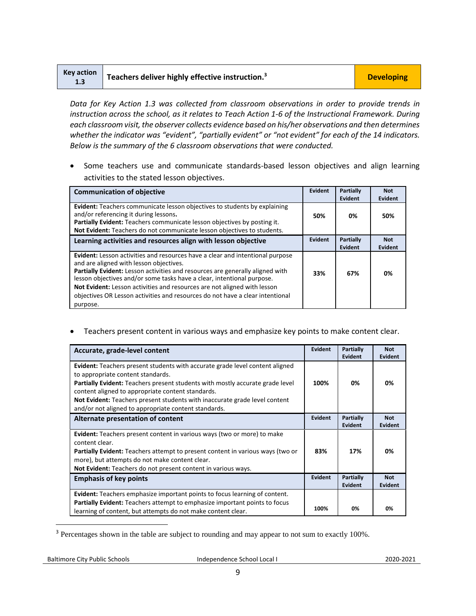| <b>Key action</b> | $\blacksquare$ Teachers deliver highly effective instruction. <sup>3</sup> | <b>Developing</b> |
|-------------------|----------------------------------------------------------------------------|-------------------|
| 1.3               |                                                                            |                   |

*Data for Key Action 1.3 was collected from classroom observations in order to provide trends in instruction across the school, as it relates to Teach Action 1-6 of the Instructional Framework. During each classroom visit, the observer collects evidence based on his/her observations and then determines whether the indicator was "evident", "partially evident" or "not evident" for each of the 14 indicators. Below is the summary of the 6 classroom observations that were conducted.* 

• Some teachers use and communicate standards-based lesson objectives and align learning activities to the stated lesson objectives.

| <b>Communication of objective</b>                                                                                                                                                                                                                                                                                                                                                                                                                                   | Evident | Partially<br>Evident        | <b>Not</b><br>Evident |
|---------------------------------------------------------------------------------------------------------------------------------------------------------------------------------------------------------------------------------------------------------------------------------------------------------------------------------------------------------------------------------------------------------------------------------------------------------------------|---------|-----------------------------|-----------------------|
| <b>Evident:</b> Teachers communicate lesson objectives to students by explaining<br>and/or referencing it during lessons.<br>Partially Evident: Teachers communicate lesson objectives by posting it.<br>Not Evident: Teachers do not communicate lesson objectives to students.                                                                                                                                                                                    | 50%     | 0%                          | 50%                   |
| Learning activities and resources align with lesson objective                                                                                                                                                                                                                                                                                                                                                                                                       | Evident | Partially<br><b>Evident</b> | <b>Not</b><br>Evident |
| <b>Evident:</b> Lesson activities and resources have a clear and intentional purpose<br>and are aligned with lesson objectives.<br>Partially Evident: Lesson activities and resources are generally aligned with<br>lesson objectives and/or some tasks have a clear, intentional purpose.<br>Not Evident: Lesson activities and resources are not aligned with lesson<br>objectives OR Lesson activities and resources do not have a clear intentional<br>purpose. | 33%     | 67%                         | 0%                    |

• Teachers present content in various ways and emphasize key points to make content clear.

| Accurate, grade-level content                                                                                                                                                                                                                                                                                                                                                                               | Evident | Partially<br><b>Evident</b> | <b>Not</b><br><b>Evident</b> |
|-------------------------------------------------------------------------------------------------------------------------------------------------------------------------------------------------------------------------------------------------------------------------------------------------------------------------------------------------------------------------------------------------------------|---------|-----------------------------|------------------------------|
| Evident: Teachers present students with accurate grade level content aligned<br>to appropriate content standards.<br><b>Partially Evident:</b> Teachers present students with mostly accurate grade level<br>content aligned to appropriate content standards.<br><b>Not Evident:</b> Teachers present students with inaccurate grade level content<br>and/or not aligned to appropriate content standards. | 100%    | 0%                          | 0%                           |
| Alternate presentation of content                                                                                                                                                                                                                                                                                                                                                                           | Evident | Partially<br><b>Evident</b> | <b>Not</b><br>Evident        |
| <b>Evident:</b> Teachers present content in various ways (two or more) to make<br>content clear.<br><b>Partially Evident:</b> Teachers attempt to present content in various ways (two or<br>more), but attempts do not make content clear.<br>Not Evident: Teachers do not present content in various ways.                                                                                                | 83%     | 17%                         | 0%                           |
| <b>Emphasis of key points</b>                                                                                                                                                                                                                                                                                                                                                                               | Evident | Partially<br><b>Evident</b> | <b>Not</b><br>Evident        |
| <b>Evident:</b> Teachers emphasize important points to focus learning of content.                                                                                                                                                                                                                                                                                                                           |         |                             |                              |
| <b>Partially Evident:</b> Teachers attempt to emphasize important points to focus<br>learning of content, but attempts do not make content clear.                                                                                                                                                                                                                                                           | 100%    | 0%                          | 0%                           |

<sup>3</sup> Percentages shown in the table are subject to rounding and may appear to not sum to exactly 100%.

l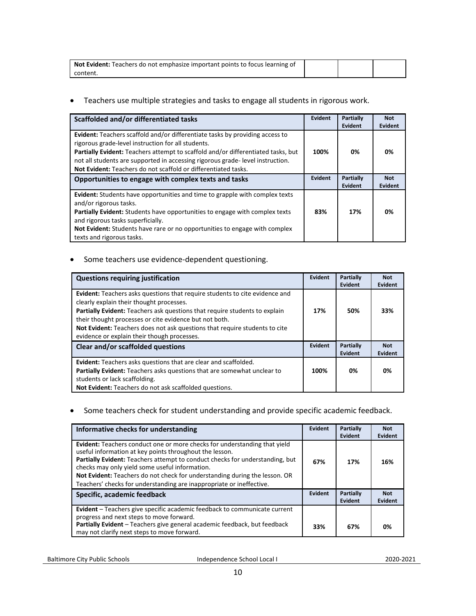| <b>Not Evident:</b> Teachers do not emphasize important points to focus learning of |  |  |
|-------------------------------------------------------------------------------------|--|--|
| .content                                                                            |  |  |

• Teachers use multiple strategies and tasks to engage all students in rigorous work.

| Scaffolded and/or differentiated tasks                                                                                                                                                                                                                                                                                                                                                  | Evident | <b>Partially</b><br>Evident | <b>Not</b><br>Evident |
|-----------------------------------------------------------------------------------------------------------------------------------------------------------------------------------------------------------------------------------------------------------------------------------------------------------------------------------------------------------------------------------------|---------|-----------------------------|-----------------------|
| <b>Evident:</b> Teachers scaffold and/or differentiate tasks by providing access to<br>rigorous grade-level instruction for all students.<br>Partially Evident: Teachers attempt to scaffold and/or differentiated tasks, but<br>not all students are supported in accessing rigorous grade-level instruction.<br><b>Not Evident:</b> Teachers do not scaffold or differentiated tasks. | 100%    | 0%                          | 0%                    |
| Opportunities to engage with complex texts and tasks                                                                                                                                                                                                                                                                                                                                    | Evident | Partially<br>Evident        | <b>Not</b><br>Evident |
| <b>Evident:</b> Students have opportunities and time to grapple with complex texts<br>and/or rigorous tasks.<br>Partially Evident: Students have opportunities to engage with complex texts<br>and rigorous tasks superficially.<br>Not Evident: Students have rare or no opportunities to engage with complex<br>texts and rigorous tasks.                                             | 83%     | 17%                         | 0%                    |

#### • Some teachers use evidence-dependent questioning.

| <b>Questions requiring justification</b>                                                                                                                                                                                                                                                                                                                                                     | Evident | Partially<br>Evident | <b>Not</b><br>Evident        |
|----------------------------------------------------------------------------------------------------------------------------------------------------------------------------------------------------------------------------------------------------------------------------------------------------------------------------------------------------------------------------------------------|---------|----------------------|------------------------------|
| Evident: Teachers asks questions that require students to cite evidence and<br>clearly explain their thought processes.<br>Partially Evident: Teachers ask questions that require students to explain<br>their thought processes or cite evidence but not both.<br>Not Evident: Teachers does not ask questions that require students to cite<br>evidence or explain their though processes. | 17%     | 50%                  | 33%                          |
| Clear and/or scaffolded questions                                                                                                                                                                                                                                                                                                                                                            | Evident | Partially<br>Evident | <b>Not</b><br><b>Evident</b> |
| <b>Evident:</b> Teachers asks questions that are clear and scaffolded.<br>Partially Evident: Teachers asks questions that are somewhat unclear to<br>students or lack scaffolding.                                                                                                                                                                                                           | 100%    | 0%                   | 0%                           |
| Not Evident: Teachers do not ask scaffolded questions.                                                                                                                                                                                                                                                                                                                                       |         |                      |                              |

#### • Some teachers check for student understanding and provide specific academic feedback.

| Informative checks for understanding                                                                                                                                                                                                                                                                                                                                                                                         | Evident        | Partially<br>Evident | <b>Not</b><br><b>Evident</b> |
|------------------------------------------------------------------------------------------------------------------------------------------------------------------------------------------------------------------------------------------------------------------------------------------------------------------------------------------------------------------------------------------------------------------------------|----------------|----------------------|------------------------------|
| Evident: Teachers conduct one or more checks for understanding that yield<br>useful information at key points throughout the lesson.<br>Partially Evident: Teachers attempt to conduct checks for understanding, but<br>checks may only yield some useful information.<br>Not Evident: Teachers do not check for understanding during the lesson. OR<br>Teachers' checks for understanding are inappropriate or ineffective. | 67%<br>Evident | 17%                  | 16%                          |
| Specific, academic feedback                                                                                                                                                                                                                                                                                                                                                                                                  |                | Partially<br>Evident | <b>Not</b><br><b>Evident</b> |
| Evident - Teachers give specific academic feedback to communicate current<br>progress and next steps to move forward.                                                                                                                                                                                                                                                                                                        |                |                      |                              |
| Partially Evident - Teachers give general academic feedback, but feedback<br>may not clarify next steps to move forward.                                                                                                                                                                                                                                                                                                     | 33%            | 67%                  | 0%                           |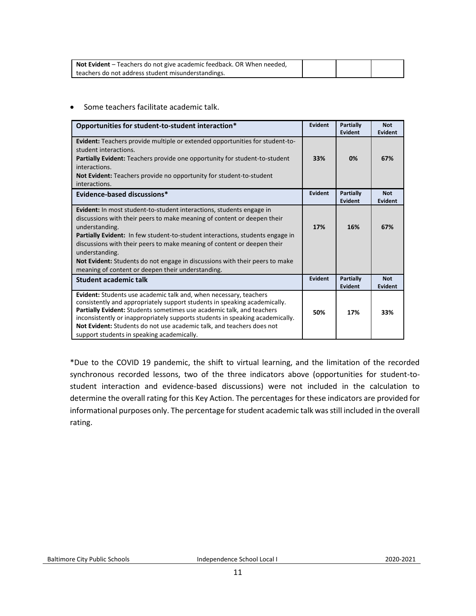| Not Evident - Teachers do not give academic feedback. OR When needed, |  |  |
|-----------------------------------------------------------------------|--|--|
| teachers do not address student misunderstandings.                    |  |  |

• Some teachers facilitate academic talk.

| Opportunities for student-to-student interaction*                                                                                                                                                                                                                                                                                                                                                                                                                                          | Evident        | Partially<br>Evident | <b>Not</b><br><b>Evident</b> |
|--------------------------------------------------------------------------------------------------------------------------------------------------------------------------------------------------------------------------------------------------------------------------------------------------------------------------------------------------------------------------------------------------------------------------------------------------------------------------------------------|----------------|----------------------|------------------------------|
| Evident: Teachers provide multiple or extended opportunities for student-to-<br>student interactions.<br><b>Partially Evident:</b> Teachers provide one opportunity for student-to-student<br>interactions.<br><b>Not Evident:</b> Teachers provide no opportunity for student-to-student<br>interactions.                                                                                                                                                                                 | 33%            | 0%                   | 67%                          |
| Evidence-based discussions*                                                                                                                                                                                                                                                                                                                                                                                                                                                                | <b>Evident</b> | Partially<br>Evident | <b>Not</b><br><b>Evident</b> |
| <b>Evident:</b> In most student-to-student interactions, students engage in<br>discussions with their peers to make meaning of content or deepen their<br>understanding.<br>Partially Evident: In few student-to-student interactions, students engage in<br>discussions with their peers to make meaning of content or deepen their<br>understanding.<br>Not Evident: Students do not engage in discussions with their peers to make<br>meaning of content or deepen their understanding. | 17%            | 16%                  | 67%                          |
| <b>Student academic talk</b>                                                                                                                                                                                                                                                                                                                                                                                                                                                               | Evident        | Partially<br>Evident | <b>Not</b><br><b>Evident</b> |
| Evident: Students use academic talk and, when necessary, teachers<br>consistently and appropriately support students in speaking academically.<br>Partially Evident: Students sometimes use academic talk, and teachers<br>inconsistently or inappropriately supports students in speaking academically.<br>Not Evident: Students do not use academic talk, and teachers does not<br>support students in speaking academically.                                                            | 50%            | 17%                  | 33%                          |

\*Due to the COVID 19 pandemic, the shift to virtual learning, and the limitation of the recorded synchronous recorded lessons, two of the three indicators above (opportunities for student-tostudent interaction and evidence-based discussions) were not included in the calculation to determine the overall rating for this Key Action. The percentages for these indicators are provided for informational purposes only. The percentage for student academic talk was still included in the overall rating.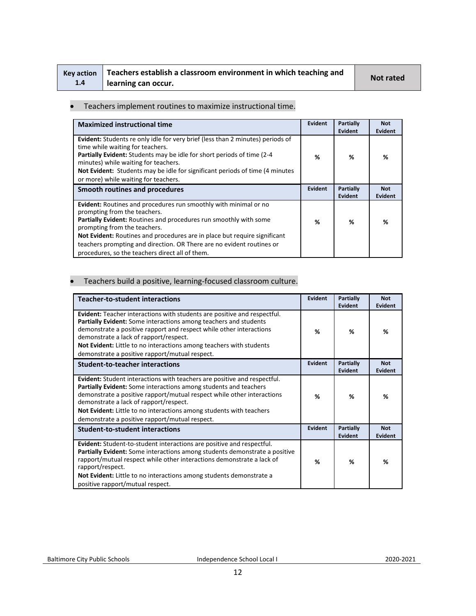|     | Key action   Teachers establish a classroom environment in which teaching and | <b>Not rated</b> |
|-----|-------------------------------------------------------------------------------|------------------|
| 1.4 | learning can occur.                                                           |                  |

#### • Teachers implement routines to maximize instructional time.

| <b>Maximized instructional time</b>                                                                                                                                                                                                                                                                                                                                                                            | Evident        | Partially<br><b>Evident</b>        | <b>Not</b><br>Evident        |
|----------------------------------------------------------------------------------------------------------------------------------------------------------------------------------------------------------------------------------------------------------------------------------------------------------------------------------------------------------------------------------------------------------------|----------------|------------------------------------|------------------------------|
| <b>Evident:</b> Students re only idle for very brief (less than 2 minutes) periods of<br>time while waiting for teachers.<br><b>Partially Evident:</b> Students may be idle for short periods of time (2-4)<br>minutes) while waiting for teachers.<br>Not Evident: Students may be idle for significant periods of time (4 minutes)<br>or more) while waiting for teachers.                                   | %              | ℅                                  | %                            |
| Smooth routines and procedures                                                                                                                                                                                                                                                                                                                                                                                 | <b>Evident</b> | <b>Partially</b><br><b>Evident</b> | <b>Not</b><br><b>Evident</b> |
| Evident: Routines and procedures run smoothly with minimal or no<br>prompting from the teachers.<br>Partially Evident: Routines and procedures run smoothly with some<br>prompting from the teachers.<br>Not Evident: Routines and procedures are in place but require significant<br>teachers prompting and direction. OR There are no evident routines or<br>procedures, so the teachers direct all of them. | %              | %                                  | %                            |

## • Teachers build a positive, learning-focused classroom culture.

| <b>Teacher-to-student interactions</b>                                                                                                                                                                                                                                                                                                                                                           | <b>Evident</b> | Partially<br><b>Evident</b> | <b>Not</b><br>Evident |
|--------------------------------------------------------------------------------------------------------------------------------------------------------------------------------------------------------------------------------------------------------------------------------------------------------------------------------------------------------------------------------------------------|----------------|-----------------------------|-----------------------|
| <b>Evident:</b> Teacher interactions with students are positive and respectful.<br>Partially Evident: Some interactions among teachers and students<br>demonstrate a positive rapport and respect while other interactions<br>demonstrate a lack of rapport/respect.<br>Not Evident: Little to no interactions among teachers with students<br>demonstrate a positive rapport/mutual respect.    | %              | %                           | %                     |
| <b>Student-to-teacher interactions</b>                                                                                                                                                                                                                                                                                                                                                           | <b>Evident</b> | Partially<br>Evident        | <b>Not</b><br>Evident |
| <b>Evident:</b> Student interactions with teachers are positive and respectful.<br>Partially Evident: Some interactions among students and teachers<br>demonstrate a positive rapport/mutual respect while other interactions<br>demonstrate a lack of rapport/respect.<br>Not Evident: Little to no interactions among students with teachers<br>demonstrate a positive rapport/mutual respect. | %              | %                           | %                     |
| <b>Student-to-student interactions</b>                                                                                                                                                                                                                                                                                                                                                           | Evident        | Partially<br>Evident        | <b>Not</b><br>Evident |
| Evident: Student-to-student interactions are positive and respectful.<br><b>Partially Evident:</b> Some interactions among students demonstrate a positive<br>rapport/mutual respect while other interactions demonstrate a lack of<br>rapport/respect.<br>Not Evident: Little to no interactions among students demonstrate a<br>positive rapport/mutual respect.                               | %              | %                           | %                     |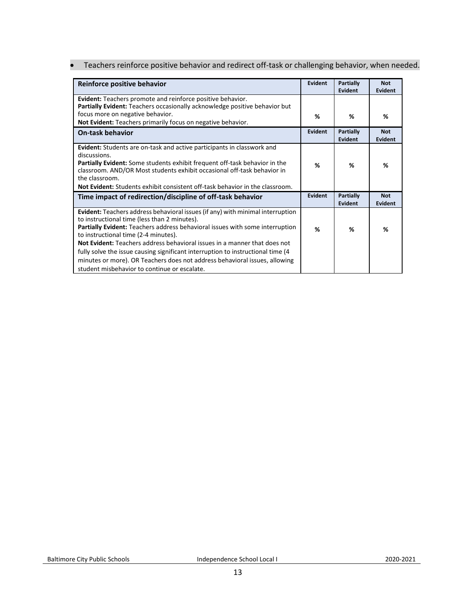• Teachers reinforce positive behavior and redirect off-task or challenging behavior, when needed.

| Reinforce positive behavior                                                                                                                                                                                                                                                                                                                                                                                                                                                                                                                                  | <b>Evident</b> | <b>Partially</b><br>Evident | <b>Not</b><br>Evident        |
|--------------------------------------------------------------------------------------------------------------------------------------------------------------------------------------------------------------------------------------------------------------------------------------------------------------------------------------------------------------------------------------------------------------------------------------------------------------------------------------------------------------------------------------------------------------|----------------|-----------------------------|------------------------------|
| <b>Evident:</b> Teachers promote and reinforce positive behavior.<br>Partially Evident: Teachers occasionally acknowledge positive behavior but                                                                                                                                                                                                                                                                                                                                                                                                              |                |                             |                              |
| focus more on negative behavior.<br>Not Evident: Teachers primarily focus on negative behavior.                                                                                                                                                                                                                                                                                                                                                                                                                                                              | %              | %                           | %                            |
| <b>On-task behavior</b>                                                                                                                                                                                                                                                                                                                                                                                                                                                                                                                                      | Evident        | <b>Partially</b><br>Evident | <b>Not</b><br><b>Evident</b> |
| <b>Evident:</b> Students are on-task and active participants in classwork and<br>discussions.<br><b>Partially Evident:</b> Some students exhibit frequent off-task behavior in the<br>classroom. AND/OR Most students exhibit occasional off-task behavior in<br>the classroom.<br><b>Not Evident:</b> Students exhibit consistent off-task behavior in the classroom.                                                                                                                                                                                       | %              | %                           | %                            |
| Time impact of redirection/discipline of off-task behavior                                                                                                                                                                                                                                                                                                                                                                                                                                                                                                   | Evident        | <b>Partially</b><br>Evident | <b>Not</b><br><b>Evident</b> |
| <b>Evident:</b> Teachers address behavioral issues (if any) with minimal interruption<br>to instructional time (less than 2 minutes).<br>Partially Evident: Teachers address behavioral issues with some interruption<br>to instructional time (2-4 minutes).<br>Not Evident: Teachers address behavioral issues in a manner that does not<br>fully solve the issue causing significant interruption to instructional time (4)<br>minutes or more). OR Teachers does not address behavioral issues, allowing<br>student misbehavior to continue or escalate. | %              | ℅                           | %                            |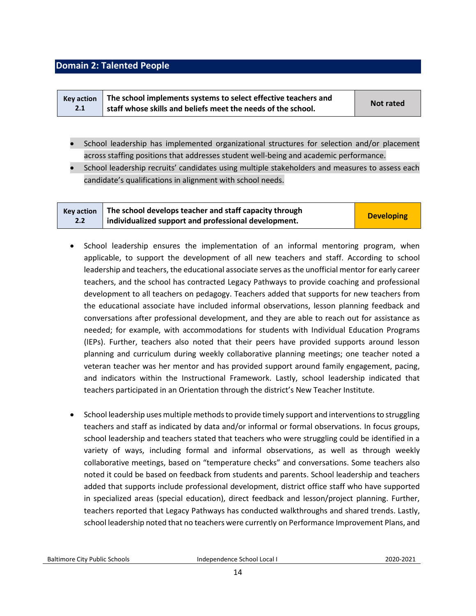## <span id="page-13-0"></span>**Domain 2: Talented People**

| <b>Key action</b> | The school implements systems to select effective teachers and |           |
|-------------------|----------------------------------------------------------------|-----------|
| 2.1               | staff whose skills and beliefs meet the needs of the school.   | Not rated |

- School leadership has implemented organizational structures for selection and/or placement across staffing positions that addresses student well-being and academic performance.
- School leadership recruits' candidates using multiple stakeholders and measures to assess each candidate's qualifications in alignment with school needs.

| <b>Key action</b> | The school develops teacher and staff capacity through |                   |
|-------------------|--------------------------------------------------------|-------------------|
| $2.2^{\circ}$     | individualized support and professional development.   | <b>Developing</b> |

- School leadership ensures the implementation of an informal mentoring program, when applicable, to support the development of all new teachers and staff. According to school leadership and teachers, the educational associate serves as the unofficial mentor for early career teachers, and the school has contracted Legacy Pathways to provide coaching and professional development to all teachers on pedagogy. Teachers added that supports for new teachers from the educational associate have included informal observations, lesson planning feedback and conversations after professional development, and they are able to reach out for assistance as needed; for example, with accommodations for students with Individual Education Programs (IEPs). Further, teachers also noted that their peers have provided supports around lesson planning and curriculum during weekly collaborative planning meetings; one teacher noted a veteran teacher was her mentor and has provided support around family engagement, pacing, and indicators within the Instructional Framework. Lastly, school leadership indicated that teachers participated in an Orientation through the district's New Teacher Institute.
- School leadership uses multiple methods to provide timely support and interventions to struggling teachers and staff as indicated by data and/or informal or formal observations. In focus groups, school leadership and teachers stated that teachers who were struggling could be identified in a variety of ways, including formal and informal observations, as well as through weekly collaborative meetings, based on "temperature checks" and conversations. Some teachers also noted it could be based on feedback from students and parents. School leadership and teachers added that supports include professional development, district office staff who have supported in specialized areas (special education), direct feedback and lesson/project planning. Further, teachers reported that Legacy Pathways has conducted walkthroughs and shared trends. Lastly, school leadership noted that no teachers were currently on Performance Improvement Plans, and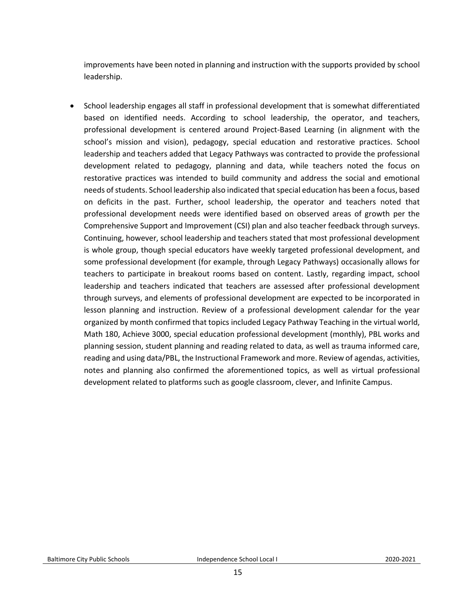improvements have been noted in planning and instruction with the supports provided by school leadership.

• School leadership engages all staff in professional development that is somewhat differentiated based on identified needs. According to school leadership, the operator, and teachers, professional development is centered around Project-Based Learning (in alignment with the school's mission and vision), pedagogy, special education and restorative practices. School leadership and teachers added that Legacy Pathways was contracted to provide the professional development related to pedagogy, planning and data, while teachers noted the focus on restorative practices was intended to build community and address the social and emotional needs of students. School leadership also indicated that special education has been a focus, based on deficits in the past. Further, school leadership, the operator and teachers noted that professional development needs were identified based on observed areas of growth per the Comprehensive Support and Improvement (CSI) plan and also teacher feedback through surveys. Continuing, however, school leadership and teachers stated that most professional development is whole group, though special educators have weekly targeted professional development, and some professional development (for example, through Legacy Pathways) occasionally allows for teachers to participate in breakout rooms based on content. Lastly, regarding impact, school leadership and teachers indicated that teachers are assessed after professional development through surveys, and elements of professional development are expected to be incorporated in lesson planning and instruction. Review of a professional development calendar for the year organized by month confirmed that topics included Legacy Pathway Teaching in the virtual world, Math 180, Achieve 3000, special education professional development (monthly), PBL works and planning session, student planning and reading related to data, as well as trauma informed care, reading and using data/PBL, the Instructional Framework and more. Review of agendas, activities, notes and planning also confirmed the aforementioned topics, as well as virtual professional development related to platforms such as google classroom, clever, and Infinite Campus.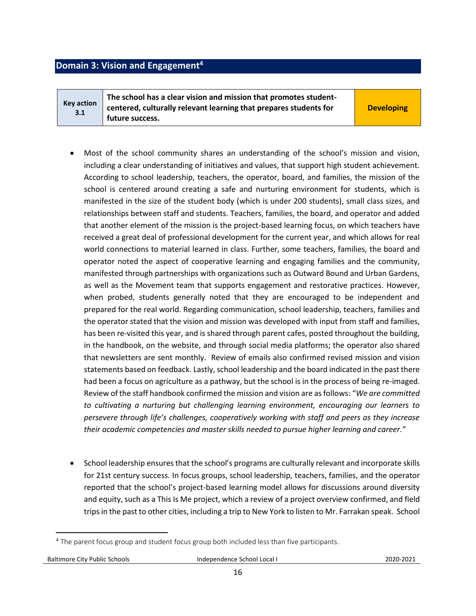### <span id="page-15-0"></span>**Domain 3: Vision and Engagement<sup>4</sup>**

**3.1**

**Key action The school has a clear vision and mission that promotes studentcentered, culturally relevant learning that prepares students for future success.** 

**Developing**

- Most of the school community shares an understanding of the school's mission and vision, including a clear understanding of initiatives and values, that support high student achievement. According to school leadership, teachers, the operator, board, and families, the mission of the school is centered around creating a safe and nurturing environment for students, which is manifested in the size of the student body (which is under 200 students), small class sizes, and relationships between staff and students. Teachers, families, the board, and operator and added that another element of the mission is the project-based learning focus, on which teachers have received a great deal of professional development for the current year, and which allows for real world connections to material learned in class. Further, some teachers, families, the board and operator noted the aspect of cooperative learning and engaging families and the community, manifested through partnerships with organizations such as Outward Bound and Urban Gardens, as well as the Movement team that supports engagement and restorative practices. However, when probed, students generally noted that they are encouraged to be independent and prepared for the real world. Regarding communication, school leadership, teachers, families and the operator stated that the vision and mission was developed with input from staff and families, has been re-visited this year, and is shared through parent cafes, posted throughout the building, in the handbook, on the website, and through social media platforms; the operator also shared that newsletters are sent monthly. Review of emails also confirmed revised mission and vision statements based on feedback. Lastly, school leadership and the board indicated in the past there had been a focus on agriculture as a pathway, but the school is in the process of being re-imaged. Review of the staff handbook confirmed the mission and vision are as follows: "*We are committed to cultivating a nurturing but challenging learning environment, encouraging our learners to persevere through life's challenges, cooperatively working with staff and peers as they increase their academic competencies and master skills needed to pursue higher learning and career."*
- School leadership ensures that the school's programs are culturally relevant and incorporate skills for 21st century success. In focus groups, school leadership, teachers, families, and the operator reported that the school's project-based learning model allows for discussions around diversity and equity, such as a This Is Me project, which a review of a project overview confirmed, and field trips in the past to other cities, including a trip to New York to listen to Mr. Farrakan speak. School

 $\overline{\phantom{a}}$ 

<sup>&</sup>lt;sup>4</sup> The parent focus group and student focus group both included less than five participants.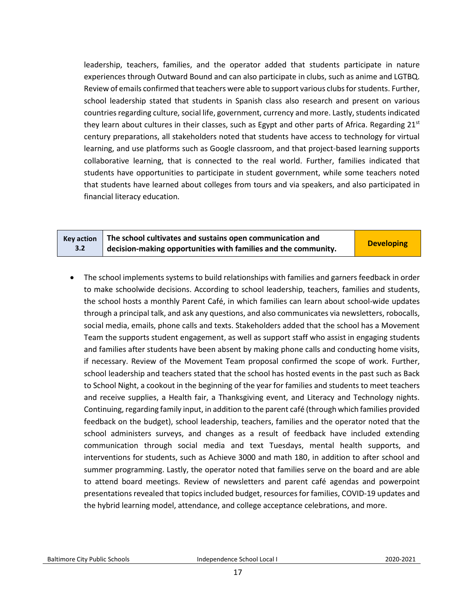leadership, teachers, families, and the operator added that students participate in nature experiences through Outward Bound and can also participate in clubs, such as anime and LGTBQ. Review of emails confirmed that teachers were able to support various clubs for students. Further, school leadership stated that students in Spanish class also research and present on various countries regarding culture, social life, government, currency and more. Lastly, students indicated they learn about cultures in their classes, such as Egypt and other parts of Africa. Regarding  $21^{st}$ century preparations, all stakeholders noted that students have access to technology for virtual learning, and use platforms such as Google classroom, and that project-based learning supports collaborative learning, that is connected to the real world. Further, families indicated that students have opportunities to participate in student government, while some teachers noted that students have learned about colleges from tours and via speakers, and also participated in financial literacy education.

|     | Key action $\parallel$ The school cultivates and sustains open communication and | <b>Developing</b> |
|-----|----------------------------------------------------------------------------------|-------------------|
| 3.2 | $\frac{1}{2}$ decision-making opportunities with families and the community.     |                   |

• The school implements systems to build relationships with families and garners feedback in order to make schoolwide decisions. According to school leadership, teachers, families and students, the school hosts a monthly Parent Café, in which families can learn about school-wide updates through a principal talk, and ask any questions, and also communicates via newsletters, robocalls, social media, emails, phone calls and texts. Stakeholders added that the school has a Movement Team the supports student engagement, as well as support staff who assist in engaging students and families after students have been absent by making phone calls and conducting home visits, if necessary. Review of the Movement Team proposal confirmed the scope of work. Further, school leadership and teachers stated that the school has hosted events in the past such as Back to School Night, a cookout in the beginning of the year for families and students to meet teachers and receive supplies, a Health fair, a Thanksgiving event, and Literacy and Technology nights. Continuing, regarding family input, in addition to the parent café (through which families provided feedback on the budget), school leadership, teachers, families and the operator noted that the school administers surveys, and changes as a result of feedback have included extending communication through social media and text Tuesdays, mental health supports, and interventions for students, such as Achieve 3000 and math 180, in addition to after school and summer programming. Lastly, the operator noted that families serve on the board and are able to attend board meetings. Review of newsletters and parent café agendas and powerpoint presentations revealed that topics included budget, resources for families, COVID-19 updates and the hybrid learning model, attendance, and college acceptance celebrations, and more.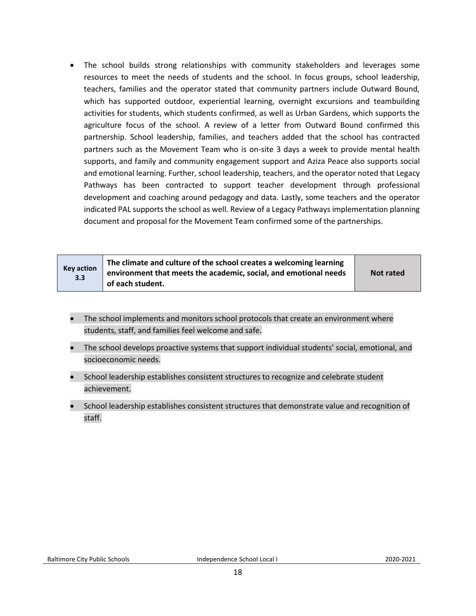• The school builds strong relationships with community stakeholders and leverages some resources to meet the needs of students and the school. In focus groups, school leadership, teachers, families and the operator stated that community partners include Outward Bound, which has supported outdoor, experiential learning, overnight excursions and teambuilding activities for students, which students confirmed, as well as Urban Gardens, which supports the agriculture focus of the school. A review of a letter from Outward Bound confirmed this partnership. School leadership, families, and teachers added that the school has contracted partners such as the Movement Team who is on-site 3 days a week to provide mental health supports, and family and community engagement support and Aziza Peace also supports social and emotional learning. Further, school leadership, teachers, and the operator noted that Legacy Pathways has been contracted to support teacher development through professional development and coaching around pedagogy and data. Lastly, some teachers and the operator indicated PAL supports the school as well. Review of a Legacy Pathways implementation planning document and proposal for the Movement Team confirmed some of the partnerships.

| <b>Key action</b><br>3.3 | The climate and culture of the school creates a welcoming learning<br>environment that meets the academic, social, and emotional needs<br>of each student. | Not rated |
|--------------------------|------------------------------------------------------------------------------------------------------------------------------------------------------------|-----------|
|--------------------------|------------------------------------------------------------------------------------------------------------------------------------------------------------|-----------|

- The school implements and monitors school protocols that create an environment where students, staff, and families feel welcome and safe.
- The school develops proactive systems that support individual students' social, emotional, and socioeconomic needs.
- School leadership establishes consistent structures to recognize and celebrate student achievement.
- School leadership establishes consistent structures that demonstrate value and recognition of staff.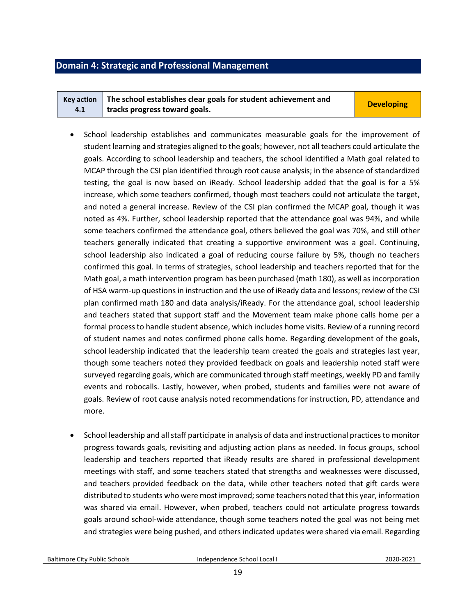#### <span id="page-18-0"></span>**Domain 4: Strategic and Professional Management**

|     | Key action $\parallel$ The school establishes clear goals for student achievement and | <b>Developing</b> |
|-----|---------------------------------------------------------------------------------------|-------------------|
| 4.1 | tracks progress toward goals.                                                         |                   |

- School leadership establishes and communicates measurable goals for the improvement of student learning and strategies aligned to the goals; however, not all teachers could articulate the goals. According to school leadership and teachers, the school identified a Math goal related to MCAP through the CSI plan identified through root cause analysis; in the absence of standardized testing, the goal is now based on iReady. School leadership added that the goal is for a 5% increase, which some teachers confirmed, though most teachers could not articulate the target, and noted a general increase. Review of the CSI plan confirmed the MCAP goal, though it was noted as 4%. Further, school leadership reported that the attendance goal was 94%, and while some teachers confirmed the attendance goal, others believed the goal was 70%, and still other teachers generally indicated that creating a supportive environment was a goal. Continuing, school leadership also indicated a goal of reducing course failure by 5%, though no teachers confirmed this goal. In terms of strategies, school leadership and teachers reported that for the Math goal, a math intervention program has been purchased (math 180), as well as incorporation of HSA warm-up questions in instruction and the use of iReady data and lessons; review of the CSI plan confirmed math 180 and data analysis/iReady. For the attendance goal, school leadership and teachers stated that support staff and the Movement team make phone calls home per a formal process to handle student absence, which includes home visits. Review of a running record of student names and notes confirmed phone calls home. Regarding development of the goals, school leadership indicated that the leadership team created the goals and strategies last year, though some teachers noted they provided feedback on goals and leadership noted staff were surveyed regarding goals, which are communicated through staff meetings, weekly PD and family events and robocalls. Lastly, however, when probed, students and families were not aware of goals. Review of root cause analysis noted recommendations for instruction, PD, attendance and more.
- School leadership and all staff participate in analysis of data and instructional practices to monitor progress towards goals, revisiting and adjusting action plans as needed. In focus groups, school leadership and teachers reported that iReady results are shared in professional development meetings with staff, and some teachers stated that strengths and weaknesses were discussed, and teachers provided feedback on the data, while other teachers noted that gift cards were distributed to students who were most improved; some teachers noted that this year, information was shared via email. However, when probed, teachers could not articulate progress towards goals around school-wide attendance, though some teachers noted the goal was not being met and strategies were being pushed, and others indicated updates were shared via email. Regarding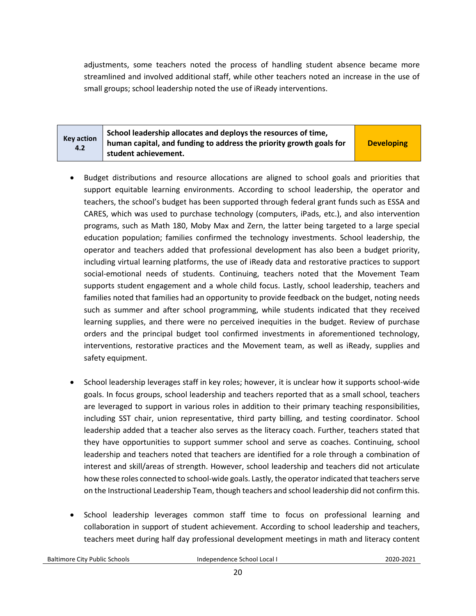adjustments, some teachers noted the process of handling student absence became more streamlined and involved additional staff, while other teachers noted an increase in the use of small groups; school leadership noted the use of iReady interventions.

| Key action<br>4.2 | School leadership allocates and deploys the resources of time,<br>human capital, and funding to address the priority growth goals for<br>student achievement. | <b>Developing</b> |
|-------------------|---------------------------------------------------------------------------------------------------------------------------------------------------------------|-------------------|
|-------------------|---------------------------------------------------------------------------------------------------------------------------------------------------------------|-------------------|

- Budget distributions and resource allocations are aligned to school goals and priorities that support equitable learning environments. According to school leadership, the operator and teachers, the school's budget has been supported through federal grant funds such as ESSA and CARES, which was used to purchase technology (computers, iPads, etc.), and also intervention programs, such as Math 180, Moby Max and Zern, the latter being targeted to a large special education population; families confirmed the technology investments. School leadership, the operator and teachers added that professional development has also been a budget priority, including virtual learning platforms, the use of iReady data and restorative practices to support social-emotional needs of students. Continuing, teachers noted that the Movement Team supports student engagement and a whole child focus. Lastly, school leadership, teachers and families noted that families had an opportunity to provide feedback on the budget, noting needs such as summer and after school programming, while students indicated that they received learning supplies, and there were no perceived inequities in the budget. Review of purchase orders and the principal budget tool confirmed investments in aforementioned technology, interventions, restorative practices and the Movement team, as well as iReady, supplies and safety equipment.
- School leadership leverages staff in key roles; however, it is unclear how it supports school-wide goals. In focus groups, school leadership and teachers reported that as a small school, teachers are leveraged to support in various roles in addition to their primary teaching responsibilities, including SST chair, union representative, third party billing, and testing coordinator. School leadership added that a teacher also serves as the literacy coach. Further, teachers stated that they have opportunities to support summer school and serve as coaches. Continuing, school leadership and teachers noted that teachers are identified for a role through a combination of interest and skill/areas of strength. However, school leadership and teachers did not articulate how these roles connected to school-wide goals. Lastly, the operator indicated that teachers serve on the Instructional Leadership Team, though teachers and school leadership did not confirm this.
- School leadership leverages common staff time to focus on professional learning and collaboration in support of student achievement. According to school leadership and teachers, teachers meet during half day professional development meetings in math and literacy content

Baltimore City Public Schools Independence School Local I2020-2021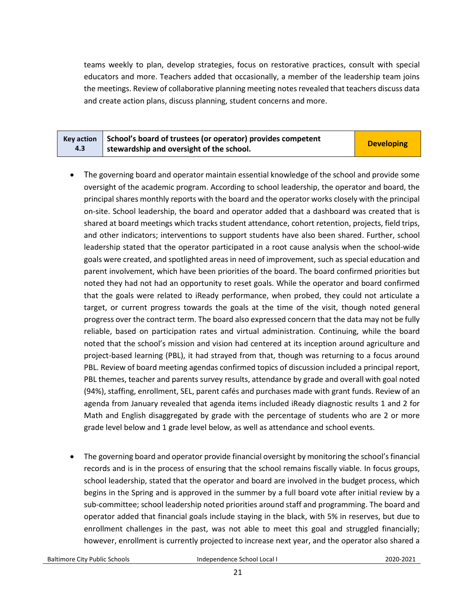teams weekly to plan, develop strategies, focus on restorative practices, consult with special educators and more. Teachers added that occasionally, a member of the leadership team joins the meetings. Review of collaborative planning meeting notes revealed that teachers discuss data and create action plans, discuss planning, student concerns and more.

|     | Key action School's board of trustees (or operator) provides competent | <b>Developing</b> |
|-----|------------------------------------------------------------------------|-------------------|
| 4.3 | stewardship and oversight of the school.                               |                   |

- The governing board and operator maintain essential knowledge of the school and provide some oversight of the academic program. According to school leadership, the operator and board, the principal shares monthly reports with the board and the operator works closely with the principal on-site. School leadership, the board and operator added that a dashboard was created that is shared at board meetings which tracks student attendance, cohort retention, projects, field trips, and other indicators; interventions to support students have also been shared. Further, school leadership stated that the operator participated in a root cause analysis when the school-wide goals were created, and spotlighted areas in need of improvement, such as special education and parent involvement, which have been priorities of the board. The board confirmed priorities but noted they had not had an opportunity to reset goals. While the operator and board confirmed that the goals were related to iReady performance, when probed, they could not articulate a target, or current progress towards the goals at the time of the visit, though noted general progress over the contract term. The board also expressed concern that the data may not be fully reliable, based on participation rates and virtual administration. Continuing, while the board noted that the school's mission and vision had centered at its inception around agriculture and project-based learning (PBL), it had strayed from that, though was returning to a focus around PBL. Review of board meeting agendas confirmed topics of discussion included a principal report, PBL themes, teacher and parents survey results, attendance by grade and overall with goal noted (94%), staffing, enrollment, SEL, parent cafés and purchases made with grant funds. Review of an agenda from January revealed that agenda items included iReady diagnostic results 1 and 2 for Math and English disaggregated by grade with the percentage of students who are 2 or more grade level below and 1 grade level below, as well as attendance and school events.
- The governing board and operator provide financial oversight by monitoring the school's financial records and is in the process of ensuring that the school remains fiscally viable. In focus groups, school leadership, stated that the operator and board are involved in the budget process, which begins in the Spring and is approved in the summer by a full board vote after initial review by a sub-committee; school leadership noted priorities around staff and programming. The board and operator added that financial goals include staying in the black, with 5% in reserves, but due to enrollment challenges in the past, was not able to meet this goal and struggled financially; however, enrollment is currently projected to increase next year, and the operator also shared a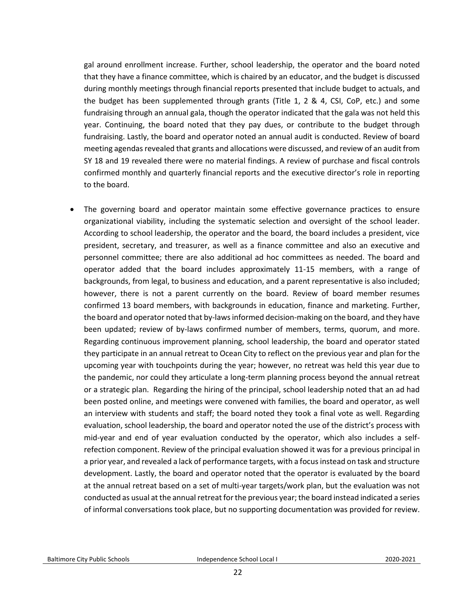gal around enrollment increase. Further, school leadership, the operator and the board noted that they have a finance committee, which is chaired by an educator, and the budget is discussed during monthly meetings through financial reports presented that include budget to actuals, and the budget has been supplemented through grants (Title 1, 2 & 4, CSI, CoP, etc.) and some fundraising through an annual gala, though the operator indicated that the gala was not held this year. Continuing, the board noted that they pay dues, or contribute to the budget through fundraising. Lastly, the board and operator noted an annual audit is conducted. Review of board meeting agendas revealed that grants and allocations were discussed, and review of an audit from SY 18 and 19 revealed there were no material findings. A review of purchase and fiscal controls confirmed monthly and quarterly financial reports and the executive director's role in reporting to the board.

The governing board and operator maintain some effective governance practices to ensure organizational viability, including the systematic selection and oversight of the school leader. According to school leadership, the operator and the board, the board includes a president, vice president, secretary, and treasurer, as well as a finance committee and also an executive and personnel committee; there are also additional ad hoc committees as needed. The board and operator added that the board includes approximately 11-15 members, with a range of backgrounds, from legal, to business and education, and a parent representative is also included; however, there is not a parent currently on the board. Review of board member resumes confirmed 13 board members, with backgrounds in education, finance and marketing. Further, the board and operator noted that by-laws informed decision-making on the board, and they have been updated; review of by-laws confirmed number of members, terms, quorum, and more. Regarding continuous improvement planning, school leadership, the board and operator stated they participate in an annual retreat to Ocean City to reflect on the previous year and plan for the upcoming year with touchpoints during the year; however, no retreat was held this year due to the pandemic, nor could they articulate a long-term planning process beyond the annual retreat or a strategic plan. Regarding the hiring of the principal, school leadership noted that an ad had been posted online, and meetings were convened with families, the board and operator, as well an interview with students and staff; the board noted they took a final vote as well. Regarding evaluation, school leadership, the board and operator noted the use of the district's process with mid-year and end of year evaluation conducted by the operator, which also includes a selfrefection component. Review of the principal evaluation showed it was for a previous principal in a prior year, and revealed a lack of performance targets, with a focus instead on task and structure development. Lastly, the board and operator noted that the operator is evaluated by the board at the annual retreat based on a set of multi-year targets/work plan, but the evaluation was not conducted as usual at the annual retreat for the previous year; the board instead indicated a series of informal conversations took place, but no supporting documentation was provided for review.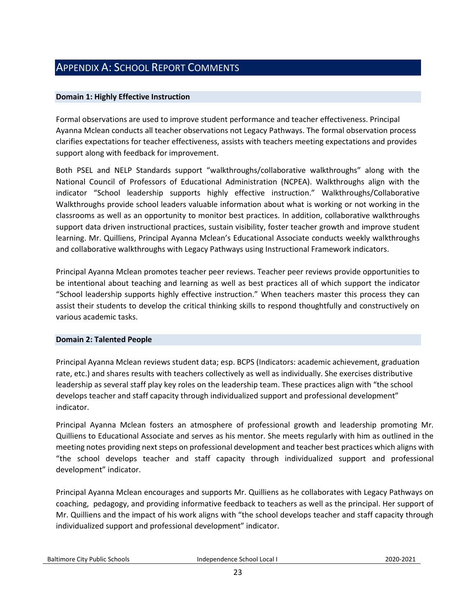# <span id="page-22-0"></span>APPENDIX A: SCHOOL REPORT COMMENTS

#### **Domain 1: Highly Effective Instruction**

Formal observations are used to improve student performance and teacher effectiveness. Principal Ayanna Mclean conducts all teacher observations not Legacy Pathways. The formal observation process clarifies expectations for teacher effectiveness, assists with teachers meeting expectations and provides support along with feedback for improvement.

Both PSEL and NELP Standards support "walkthroughs/collaborative walkthroughs" along with the National Council of Professors of Educational Administration (NCPEA). Walkthroughs align with the indicator "School leadership supports highly effective instruction." Walkthroughs/Collaborative Walkthroughs provide school leaders valuable information about what is working or not working in the classrooms as well as an opportunity to monitor best practices. In addition, collaborative walkthroughs support data driven instructional practices, sustain visibility, foster teacher growth and improve student learning. Mr. Quilliens, Principal Ayanna Mclean's Educational Associate conducts weekly walkthroughs and collaborative walkthroughs with Legacy Pathways using Instructional Framework indicators.

Principal Ayanna Mclean promotes teacher peer reviews. Teacher peer reviews provide opportunities to be intentional about teaching and learning as well as best practices all of which support the indicator "School leadership supports highly effective instruction." When teachers master this process they can assist their students to develop the critical thinking skills to respond thoughtfully and constructively on various academic tasks.

#### **Domain 2: Talented People**

Principal Ayanna Mclean reviews student data; esp. BCPS (Indicators: academic achievement, graduation rate, etc.) and shares results with teachers collectively as well as individually. She exercises distributive leadership as several staff play key roles on the leadership team. These practices align with "the school develops teacher and staff capacity through individualized support and professional development" indicator.

Principal Ayanna Mclean fosters an atmosphere of professional growth and leadership promoting Mr. Quilliens to Educational Associate and serves as his mentor. She meets regularly with him as outlined in the meeting notes providing next steps on professional development and teacher best practices which aligns with "the school develops teacher and staff capacity through individualized support and professional development" indicator.

Principal Ayanna Mclean encourages and supports Mr. Quilliens as he collaborates with Legacy Pathways on coaching, pedagogy, and providing informative feedback to teachers as well as the principal. Her support of Mr. Quilliens and the impact of his work aligns with "the school develops teacher and staff capacity through individualized support and professional development" indicator.

Baltimore City Public Schools Independence School Local I2020-2021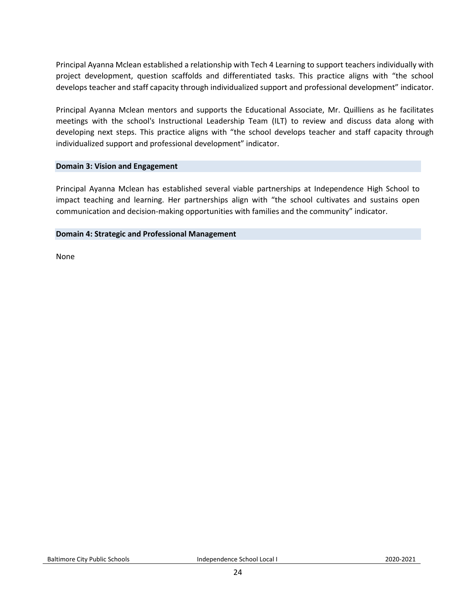Principal Ayanna Mclean established a relationship with Tech 4 Learning to support teachers individually with project development, question scaffolds and differentiated tasks. This practice aligns with "the school develops teacher and staff capacity through individualized support and professional development" indicator.

Principal Ayanna Mclean mentors and supports the Educational Associate, Mr. Quilliens as he facilitates meetings with the school's Instructional Leadership Team (ILT) to review and discuss data along with developing next steps. This practice aligns with "the school develops teacher and staff capacity through individualized support and professional development" indicator.

#### **Domain 3: Vision and Engagement**

Principal Ayanna Mclean has established several viable partnerships at Independence High School to impact teaching and learning. Her partnerships align with "the school cultivates and sustains open communication and decision-making opportunities with families and the community" indicator.

#### **Domain 4: Strategic and Professional Management**

None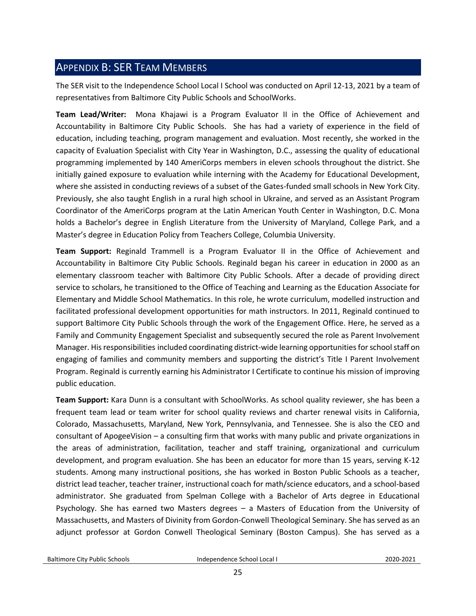# <span id="page-24-0"></span>APPENDIX B: SER TEAM MEMBERS

The SER visit to the Independence School Local I School was conducted on April 12-13, 2021 by a team of representatives from Baltimore City Public Schools and SchoolWorks.

**Team Lead/Writer:** Mona Khajawi is a Program Evaluator II in the Office of Achievement and Accountability in Baltimore City Public Schools. She has had a variety of experience in the field of education, including teaching, program management and evaluation. Most recently, she worked in the capacity of Evaluation Specialist with City Year in Washington, D.C., assessing the quality of educational programming implemented by 140 AmeriCorps members in eleven schools throughout the district. She initially gained exposure to evaluation while interning with the Academy for Educational Development, where she assisted in conducting reviews of a subset of the Gates-funded small schools in New York City. Previously, she also taught English in a rural high school in Ukraine, and served as an Assistant Program Coordinator of the AmeriCorps program at the Latin American Youth Center in Washington, D.C. Mona holds a Bachelor's degree in English Literature from the University of Maryland, College Park, and a Master's degree in Education Policy from Teachers College, Columbia University.

**Team Support:** Reginald Trammell is a Program Evaluator II in the Office of Achievement and Accountability in Baltimore City Public Schools. Reginald began his career in education in 2000 as an elementary classroom teacher with Baltimore City Public Schools. After a decade of providing direct service to scholars, he transitioned to the Office of Teaching and Learning as the Education Associate for Elementary and Middle School Mathematics. In this role, he wrote curriculum, modelled instruction and facilitated professional development opportunities for math instructors. In 2011, Reginald continued to support Baltimore City Public Schools through the work of the Engagement Office. Here, he served as a Family and Community Engagement Specialist and subsequently secured the role as Parent Involvement Manager. His responsibilities included coordinating district-wide learning opportunities for school staff on engaging of families and community members and supporting the district's Title I Parent Involvement Program. Reginald is currently earning his Administrator I Certificate to continue his mission of improving public education.

**Team Support:** Kara Dunn is a consultant with SchoolWorks. As school quality reviewer, she has been a frequent team lead or team writer for school quality reviews and charter renewal visits in California, Colorado, Massachusetts, Maryland, New York, Pennsylvania, and Tennessee. She is also the CEO and consultant of ApogeeVision – a consulting firm that works with many public and private organizations in the areas of administration, facilitation, teacher and staff training, organizational and curriculum development, and program evaluation. She has been an educator for more than 15 years, serving K-12 students. Among many instructional positions, she has worked in Boston Public Schools as a teacher, district lead teacher, teacher trainer, instructional coach for math/science educators, and a school-based administrator. She graduated from Spelman College with a Bachelor of Arts degree in Educational Psychology. She has earned two Masters degrees – a Masters of Education from the University of Massachusetts, and Masters of Divinity from Gordon-Conwell Theological Seminary. She has served as an adjunct professor at Gordon Conwell Theological Seminary (Boston Campus). She has served as a